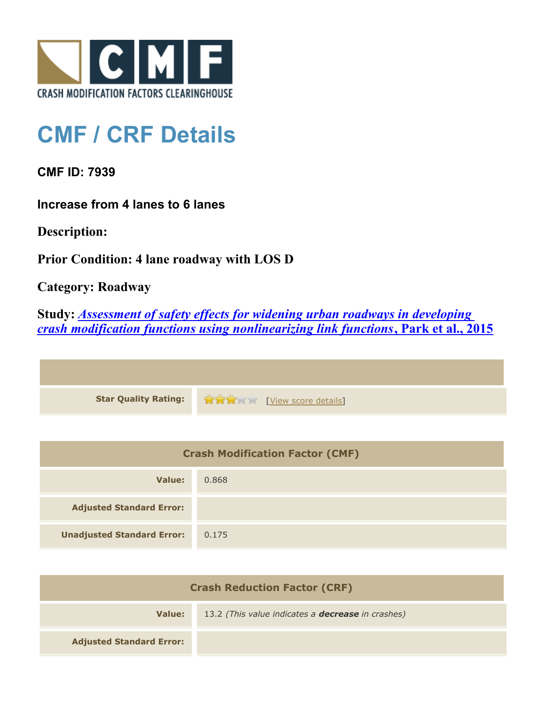

## **CMF / CRF Details**

**CMF ID: 7939**

**Increase from 4 lanes to 6 lanes**

**Description:** 

**Prior Condition: 4 lane roadway with LOS D**

**Category: Roadway**

**Study:** *[Assessment of safety effects for widening urban roadways in developing](http://www.cmfclearinghouse.org/study_detail.cfm?stid=438) [crash modification functions using nonlinearizing link functions](http://www.cmfclearinghouse.org/study_detail.cfm?stid=438)***[, Park et al., 2015](http://www.cmfclearinghouse.org/study_detail.cfm?stid=438)**

| Star Quality Rating: 19 20 20 [View score details] |
|----------------------------------------------------|

| <b>Crash Modification Factor (CMF)</b> |       |
|----------------------------------------|-------|
| Value:                                 | 0.868 |
| <b>Adjusted Standard Error:</b>        |       |
| <b>Unadjusted Standard Error:</b>      | 0.175 |

| <b>Crash Reduction Factor (CRF)</b> |                                                          |
|-------------------------------------|----------------------------------------------------------|
| Value:                              | 13.2 (This value indicates a <b>decrease</b> in crashes) |
| <b>Adjusted Standard Error:</b>     |                                                          |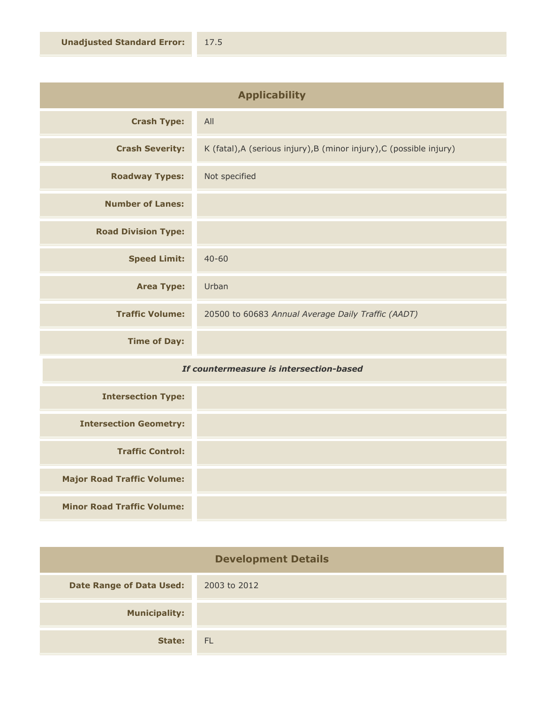| <b>Applicability</b>       |                                                                      |
|----------------------------|----------------------------------------------------------------------|
| <b>Crash Type:</b>         | All                                                                  |
| <b>Crash Severity:</b>     | K (fatal), A (serious injury), B (minor injury), C (possible injury) |
| <b>Roadway Types:</b>      | Not specified                                                        |
| <b>Number of Lanes:</b>    |                                                                      |
| <b>Road Division Type:</b> |                                                                      |
| <b>Speed Limit:</b>        | $40 - 60$                                                            |
| <b>Area Type:</b>          | Urban                                                                |
| <b>Traffic Volume:</b>     | 20500 to 60683 Annual Average Daily Traffic (AADT)                   |
| <b>Time of Day:</b>        |                                                                      |
| .<br>$ -$                  |                                                                      |

## *If countermeasure is intersection-based*

| <b>Intersection Type:</b>         |  |
|-----------------------------------|--|
| <b>Intersection Geometry:</b>     |  |
| <b>Traffic Control:</b>           |  |
| <b>Major Road Traffic Volume:</b> |  |
| <b>Minor Road Traffic Volume:</b> |  |

| <b>Development Details</b>      |              |
|---------------------------------|--------------|
| <b>Date Range of Data Used:</b> | 2003 to 2012 |
| <b>Municipality:</b>            |              |
| State:                          | <b>FL</b>    |